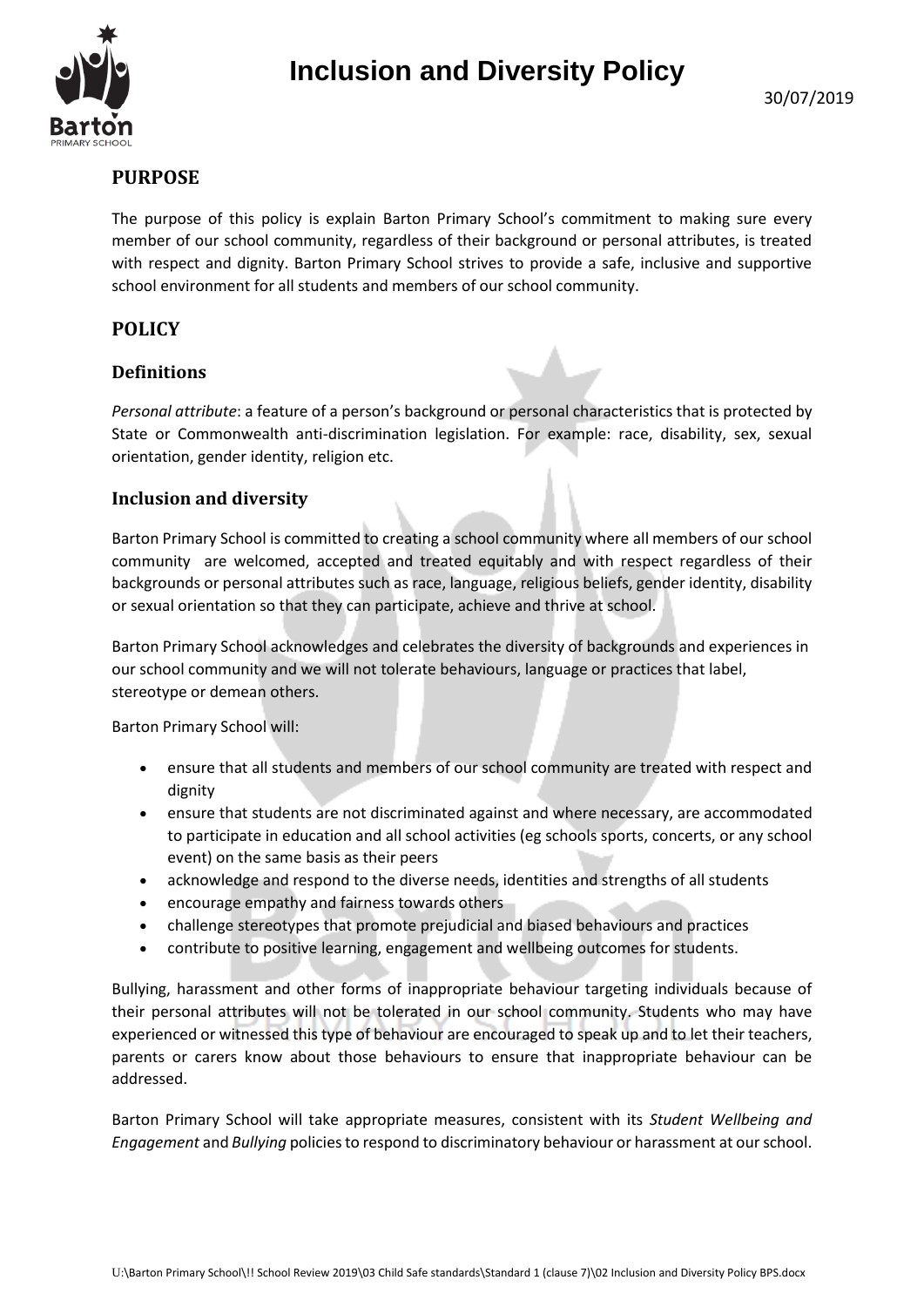



# **PURPOSE**

The purpose of this policy is explain Barton Primary School's commitment to making sure every member of our school community, regardless of their background or personal attributes, is treated with respect and dignity. Barton Primary School strives to provide a safe, inclusive and supportive school environment for all students and members of our school community.

## **POLICY**

### **Definitions**

*Personal attribute*: a feature of a person's background or personal characteristics that is protected by State or Commonwealth anti-discrimination legislation. For example: race, disability, sex, sexual orientation, gender identity, religion etc.

### **Inclusion and diversity**

Barton Primary School is committed to creating a school community where all members of our school community are welcomed, accepted and treated equitably and with respect regardless of their backgrounds or personal attributes such as race, language, religious beliefs, gender identity, disability or sexual orientation so that they can participate, achieve and thrive at school.

Barton Primary School acknowledges and celebrates the diversity of backgrounds and experiences in our school community and we will not tolerate behaviours, language or practices that label, stereotype or demean others.

Barton Primary School will:

- ensure that all students and members of our school community are treated with respect and dignity
- ensure that students are not discriminated against and where necessary, are accommodated to participate in education and all school activities (eg schools sports, concerts, or any school event) on the same basis as their peers
- acknowledge and respond to the diverse needs, identities and strengths of all students
- encourage empathy and fairness towards others
- challenge stereotypes that promote prejudicial and biased behaviours and practices
- contribute to positive learning, engagement and wellbeing outcomes for students.

Bullying, harassment and other forms of inappropriate behaviour targeting individuals because of their personal attributes will not be tolerated in our school community. Students who may have experienced or witnessed this type of behaviour are encouraged to speak up and to let their teachers, parents or carers know about those behaviours to ensure that inappropriate behaviour can be addressed.

Barton Primary School will take appropriate measures, consistent with its *Student Wellbeing and Engagement* and *Bullying* policies to respond to discriminatory behaviour or harassment at our school.